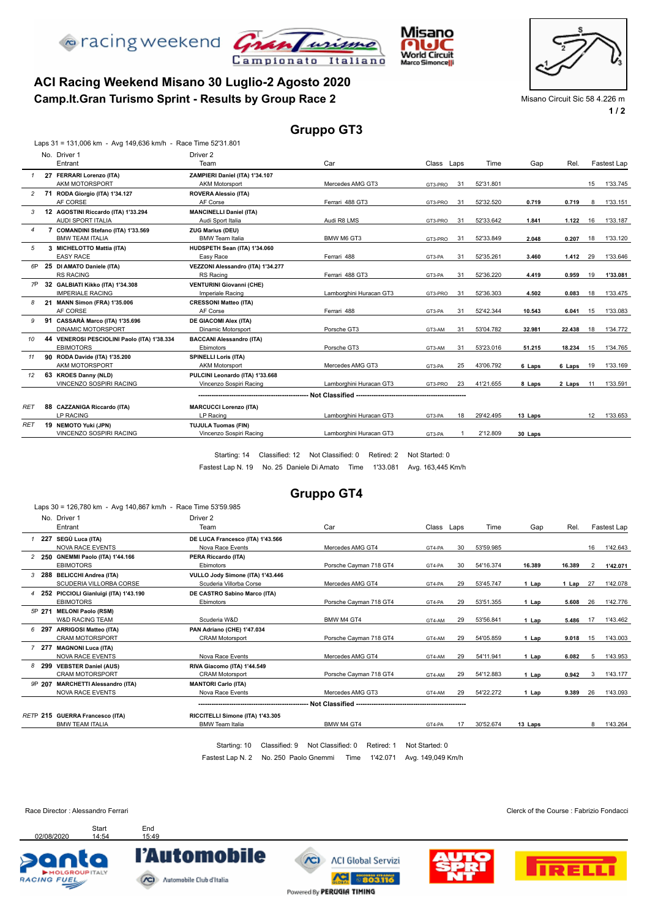



## **Camp.It.Gran Turismo Sprint - Results by Group Race 2** Misano Circuit Sic 58 4.226 m **ACI Racing Weekend Misano 30 Luglio-2 Agosto 2020**

**1 / 2**

#### **Gruppo GT3**

|                | Laps 31 = 131,006 km - Avg 149,636 km/h - Race Time 52'31.801 |                                   |                                                   |            |    |           |         |        |    |             |
|----------------|---------------------------------------------------------------|-----------------------------------|---------------------------------------------------|------------|----|-----------|---------|--------|----|-------------|
|                | No. Driver 1                                                  | Driver 2                          |                                                   |            |    |           |         |        |    |             |
|                | Entrant                                                       | Team                              | Car                                               | Class Laps |    | Time      | Gap     | Rel.   |    | Fastest Lap |
|                | 27 FERRARI Lorenzo (ITA)                                      | ZAMPIERI Daniel (ITA) 1'34.107    |                                                   |            |    |           |         |        |    |             |
|                | AKM MOTORSPORT                                                | <b>AKM Motorsport</b>             | Mercedes AMG GT3                                  | GT3-PRO    | 31 | 52'31.801 |         |        | 15 | 1'33.745    |
|                | 2 71 RODA Giorgio (ITA) 1'34.127                              | <b>ROVERA Alessio (ITA)</b>       |                                                   |            |    |           |         |        |    |             |
|                | AF CORSE                                                      | AF Corse                          | Ferrari 488 GT3                                   | GT3-PRO    | 31 | 52'32.520 | 0.719   | 0.719  | 8  | 1'33.151    |
| 3              | 12 AGOSTINI Riccardo (ITA) 1'33.294                           | <b>MANCINELLI Daniel (ITA)</b>    |                                                   |            |    |           |         |        |    |             |
|                | AUDI SPORT ITALIA                                             | Audi Sport Italia                 | Audi R8 LMS                                       | GT3-PRO    | 31 | 52'33.642 | 1.841   | 1.122  | 16 | 1'33.187    |
| $\overline{4}$ | 7 COMANDINI Stefano (ITA) 1'33.569                            | <b>ZUG Marius (DEU)</b>           |                                                   |            |    |           |         |        |    |             |
|                | <b>BMW TEAM ITALIA</b>                                        | <b>BMW Team Italia</b>            | BMW M6 GT3                                        | GT3-PRO    | 31 | 52'33.849 | 2.048   | 0.207  | 18 | 1'33.120    |
| 5              | 3 MICHELOTTO Mattia (ITA)                                     | HUDSPETH Sean (ITA) 1'34.060      |                                                   |            |    |           |         |        |    |             |
|                | <b>EASY RACE</b>                                              | Easy Race                         | Ferrari 488                                       | GT3-PA     | 31 | 52'35.261 | 3.460   | 1.412  | 29 | 1'33.646    |
| 6P             | 25 DI AMATO Daniele (ITA)                                     | VEZZONI Alessandro (ITA) 1'34.277 |                                                   |            |    |           |         |        |    |             |
|                | <b>RS RACING</b>                                              | RS Racing                         | Ferrari 488 GT3                                   | GT3-PA     | 31 | 52'36.220 | 4.419   | 0.959  | 19 | 1'33.081    |
| 7P             | 32 GALBIATI Kikko (ITA) 1'34.308                              | <b>VENTURINI Giovanni (CHE)</b>   |                                                   |            |    |           |         |        |    |             |
|                | <b>IMPERIALE RACING</b>                                       | Imperiale Racing                  | Lamborghini Huracan GT3                           | GT3-PRO    | 31 | 52'36.303 | 4.502   | 0.083  | 18 | 1'33.475    |
| 8              | 21 MANN Simon (FRA) 1'35.006                                  | <b>CRESSONI Matteo (ITA)</b>      |                                                   |            |    |           |         |        |    |             |
|                | AF CORSE                                                      | AF Corse                          | Ferrari 488                                       | GT3-PA     | 31 | 52'42.344 | 10.543  | 6.041  | 15 | 1'33.083    |
| 9              | 91 CASSARÀ Marco (ITA) 1'35.696                               | <b>DE GIACOMI Alex (ITA)</b>      |                                                   |            |    |           |         |        |    |             |
|                | <b>DINAMIC MOTORSPORT</b>                                     | <b>Dinamic Motorsport</b>         | Porsche GT3                                       | GT3-AM     | 31 | 53'04.782 | 32.981  | 22.438 | 18 | 1'34.772    |
| 10             | 44 VENEROSI PESCIOLINI Paolo (ITA) 1'38.334                   | <b>BACCANI Alessandro (ITA)</b>   |                                                   |            |    |           |         |        |    |             |
|                | <b>EBIMOTORS</b>                                              | Ebimotors                         | Porsche GT3                                       | GT3-AM     | 31 | 53'23.016 | 51.215  | 18.234 | 15 | 1'34.765    |
| 11             | 90 RODA Davide (ITA) 1'35.200                                 | <b>SPINELLI Loris (ITA)</b>       |                                                   |            |    |           |         |        |    |             |
|                | AKM MOTORSPORT                                                | <b>AKM Motorsport</b>             | Mercedes AMG GT3                                  | GT3-PA     | 25 | 43'06.792 | 6 Laps  | 6 Laps | 19 | 1'33.169    |
| 12             | 63 KROES Danny (NLD)                                          | PULCINI Leonardo (ITA) 1'33.668   |                                                   |            |    |           |         |        |    |             |
|                | VINCENZO SOSPIRI RACING                                       | Vincenzo Sospiri Racing           | Lamborghini Huracan GT3                           | GT3-PRO    | 23 | 41'21.655 | 8 Laps  | 2 Laps | 11 | 1'33.591    |
|                |                                                               |                                   | Not Classified ---------------------------------- |            |    |           |         |        |    |             |
| RET            | 88 CAZZANIGA Riccardo (ITA)                                   | <b>MARCUCCI Lorenzo (ITA)</b>     |                                                   |            |    |           |         |        |    |             |
|                | <b>LP RACING</b>                                              | LP Racing                         | Lamborghini Huracan GT3                           | GT3-PA     | 18 | 29'42.495 | 13 Laps |        | 12 | 1'33.653    |
| RE1            | 19 NEMOTO Yuki (JPN)                                          | <b>TUJULA Tuomas (FIN)</b>        |                                                   |            |    |           |         |        |    |             |
|                | VINCENZO SOSPIRI RACING                                       | Vincenzo Sospiri Racing           | Lamborghini Huracan GT3                           | GT3-PA     |    | 2'12.809  | 30 Laps |        |    |             |
|                |                                                               |                                   |                                                   |            |    |           |         |        |    |             |

Fastest Lap N. 19 No. 25 Daniele Di Amato Time 1'33.081 Avg. 163,445 Km/h Starting: 14 Classified: 12 Not Classified: 0 Retired: 2 Not Started: 0

#### **Gruppo GT4**

|        | No. Driver 1<br>Entrant                                      | Driver <sub>2</sub><br>Team                                 | Car                             | Class Laps     |    | Time      | Gap     | Rel.   |                | Fastest Lap |
|--------|--------------------------------------------------------------|-------------------------------------------------------------|---------------------------------|----------------|----|-----------|---------|--------|----------------|-------------|
| 227    | SEGÙ Luca (ITA)<br><b>NOVA RACE EVENTS</b>                   | DE LUCA Francesco (ITA) 1'43.566<br>Nova Race Events        | Mercedes AMG GT4                | GT4-PA         | 30 | 53'59.985 |         |        | 16             | 1'42.643    |
|        | 2 250 GNEMMI Paolo (ITA) 1'44.166<br><b>EBIMOTORS</b>        | PERA Riccardo (ITA)<br>Ebimotors                            | Porsche Cavman 718 GT4          | GT4-PA         | 30 | 54'16.374 | 16.389  | 16.389 | $\overline{2}$ | 1'42.071    |
|        | 3 288 BELICCHI Andrea (ITA)<br>SCUDERIA VILLORBA CORSE       | VULLO Jody Simone (ITA) 1'43.446<br>Scuderia Villorba Corse | Mercedes AMG GT4                | GT4-PA         | 29 | 53'45.747 | 1 Lap   | 1 Lap  | 27             | 1'42.078    |
|        | 4 252 PICCIOLI Gianluigi (ITA) 1'43.190<br><b>EBIMOTORS</b>  | DE CASTRO Sabino Marco (ITA)<br>Ebimotors                   | Porsche Cayman 718 GT4          | GT4-PA         | 29 | 53'51.355 | 1 Lap   | 5.608  | -26            | 1'42.776    |
| 5P 271 | <b>MELONI Paolo (RSM)</b><br>W&D RACING TEAM                 | Scuderia W&D                                                | BMW M4 GT4                      | GT4-AM         | 29 | 53'56.841 | 1 Lap   | 5.486  | 17             | 1'43.462    |
| 6 297  | <b>ARRIGOSI Matteo (ITA)</b><br><b>CRAM MOTORSPORT</b>       | PAN Adriano (CHE) 1'47.034<br><b>CRAM Motorsport</b>        | Porsche Cayman 718 GT4          | GT4-AM         | 29 | 54'05.859 | 1 Lap   | 9.018  | 15             | 1'43.003    |
| 7277   | <b>MAGNONI Luca (ITA)</b><br><b>NOVA RACE EVENTS</b>         | Nova Race Events                                            | Mercedes AMG GT4                | GT4-AM         | 29 | 54'11.941 | 1 Lap   | 6.082  | 5              | 1'43.953    |
|        | 8 299 VEBSTER Daniel (AUS)<br><b>CRAM MOTORSPORT</b>         | RIVA Giacomo (ITA) 1'44.549<br><b>CRAM Motorsport</b>       | Porsche Cayman 718 GT4          | GT4-AM         | 29 | 54'12.883 | 1 Lap   | 0.942  | 3              | 1'43.177    |
| 9P 207 | <b>MARCHETTI Alessandro (ITA)</b><br><b>NOVA RACE EVENTS</b> | <b>MANTORI Carlo (ITA)</b><br>Nova Race Events              | Mercedes AMG GT3                | GT4-AM         | 29 | 54'22.272 | 1 Lap   | 9.389  | 26             | 1'43.093    |
|        |                                                              |                                                             |                                 |                |    |           |         |        |                |             |
|        | RETP 215 GUERRA Francesco (ITA)<br><b>BMW TEAM ITALIA</b>    | RICCITELLI Simone (ITA) 1'43.305<br><b>BMW Team Italia</b>  | BMW M4 GT4                      | GT4-PA         | 17 | 30'52.674 | 13 Laps |        | 8              | 1'43.264    |
|        |                                                              | Classified: 9<br>Starting: 10                               | Not Classified: 0<br>Retired: 1 | Not Started: 0 |    |           |         |        |                |             |

Fastest Lap N. 2 No. 250 Paolo Gnemmi Time 1'42.071 Avg. 149,049 Km/h



Race Director : Alessandro Ferrari **Clerck of the Course : Fabrizio Fondacci** Clerck of the Course : Fabrizio Fondacci





Start End<br>14:54 15:49

**CO** Automobile Club d'Italia

l'Automobile

Powered By PERUGIA TIMING